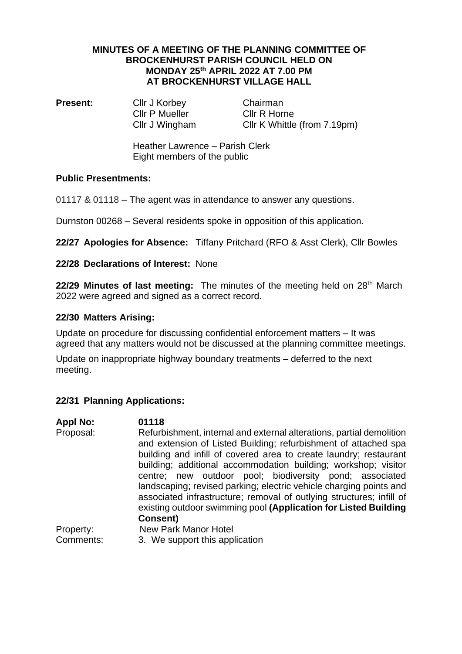### **MINUTES OF A MEETING OF THE PLANNING COMMITTEE OF BROCKENHURST PARISH COUNCIL HELD ON MONDAY 25th APRIL 2022 AT 7.00 PM AT BROCKENHURST VILLAGE HALL**

**Present:** Cllr J Korbey Chairman Cllr P Mueller Cllr R Horne

Cllr J Wingham Cllr K Whittle (from 7.19pm)

Heather Lawrence – Parish Clerk Eight members of the public

## **Public Presentments:**

01117 & 01118 – The agent was in attendance to answer any questions.

Durnston 00268 – Several residents spoke in opposition of this application.

**22/27 Apologies for Absence:** Tiffany Pritchard (RFO & Asst Clerk), Cllr Bowles

# **22/28 Declarations of Interest:** None

22/29 Minutes of last meeting: The minutes of the meeting held on 28<sup>th</sup> March 2022 were agreed and signed as a correct record.

## **22/30 Matters Arising:**

Update on procedure for discussing confidential enforcement matters – It was agreed that any matters would not be discussed at the planning committee meetings.

Update on inappropriate highway boundary treatments – deferred to the next meeting.

# **22/31 Planning Applications:**

| <b>Appl No:</b> | 01118                                                                |
|-----------------|----------------------------------------------------------------------|
| Proposal:       | Refurbishment, internal and external alterations, partial demolition |
|                 | and extension of Listed Building; refurbishment of attached spa      |
|                 | building and infill of covered area to create laundry; restaurant    |
|                 | building; additional accommodation building; workshop; visitor       |
|                 | centre; new outdoor pool; biodiversity pond; associated              |
|                 | landscaping; revised parking; electric vehicle charging points and   |
|                 | associated infrastructure; removal of outlying structures; infill of |
|                 | existing outdoor swimming pool (Application for Listed Building      |
|                 | <b>Consent)</b>                                                      |
| Property:       | <b>New Park Manor Hotel</b>                                          |
| Comments:       | 3. We support this application                                       |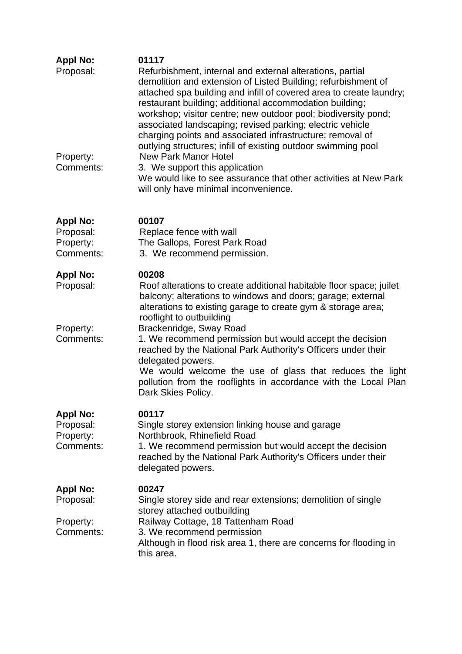| <b>Appl No:</b><br>Proposal:                           | 01117<br>Refurbishment, internal and external alterations, partial<br>demolition and extension of Listed Building; refurbishment of<br>attached spa building and infill of covered area to create laundry;<br>restaurant building; additional accommodation building;<br>workshop; visitor centre; new outdoor pool; biodiversity pond;<br>associated landscaping; revised parking; electric vehicle<br>charging points and associated infrastructure; removal of<br>outlying structures; infill of existing outdoor swimming pool                                        |
|--------------------------------------------------------|---------------------------------------------------------------------------------------------------------------------------------------------------------------------------------------------------------------------------------------------------------------------------------------------------------------------------------------------------------------------------------------------------------------------------------------------------------------------------------------------------------------------------------------------------------------------------|
| Property:<br>Comments:                                 | <b>New Park Manor Hotel</b><br>3. We support this application<br>We would like to see assurance that other activities at New Park<br>will only have minimal inconvenience.                                                                                                                                                                                                                                                                                                                                                                                                |
| <b>Appl No:</b><br>Proposal:<br>Property:<br>Comments: | 00107<br>Replace fence with wall<br>The Gallops, Forest Park Road<br>3. We recommend permission.                                                                                                                                                                                                                                                                                                                                                                                                                                                                          |
| <b>Appl No:</b><br>Proposal:<br>Property:<br>Comments: | 00208<br>Roof alterations to create additional habitable floor space; juilet<br>balcony; alterations to windows and doors; garage; external<br>alterations to existing garage to create gym & storage area;<br>rooflight to outbuilding<br>Brackenridge, Sway Road<br>1. We recommend permission but would accept the decision<br>reached by the National Park Authority's Officers under their<br>delegated powers.<br>We would welcome the use of glass that reduces the light<br>pollution from the rooflights in accordance with the Local Plan<br>Dark Skies Policy. |
| <b>Appl No:</b><br>Proposal:<br>Property:<br>Comments: | 00117<br>Single storey extension linking house and garage<br>Northbrook, Rhinefield Road<br>1. We recommend permission but would accept the decision<br>reached by the National Park Authority's Officers under their<br>delegated powers.                                                                                                                                                                                                                                                                                                                                |
| <b>Appl No:</b><br>Proposal:<br>Property:<br>Comments: | 00247<br>Single storey side and rear extensions; demolition of single<br>storey attached outbuilding<br>Railway Cottage, 18 Tattenham Road<br>3. We recommend permission<br>Although in flood risk area 1, there are concerns for flooding in<br>this area.                                                                                                                                                                                                                                                                                                               |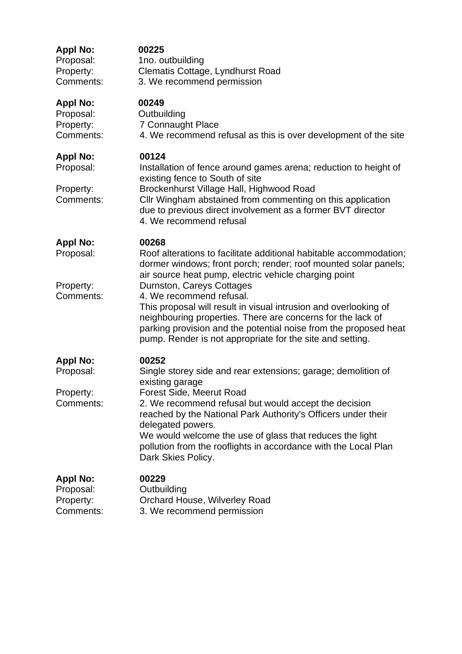| <b>Appl No:</b>                                        | 00225                                                                                                                                                                                                                                                                                                                                                                                                                                                                                                                                |
|--------------------------------------------------------|--------------------------------------------------------------------------------------------------------------------------------------------------------------------------------------------------------------------------------------------------------------------------------------------------------------------------------------------------------------------------------------------------------------------------------------------------------------------------------------------------------------------------------------|
| Proposal:                                              | 1no. outbuilding                                                                                                                                                                                                                                                                                                                                                                                                                                                                                                                     |
| Property:                                              | Clematis Cottage, Lyndhurst Road                                                                                                                                                                                                                                                                                                                                                                                                                                                                                                     |
| Comments:                                              | 3. We recommend permission                                                                                                                                                                                                                                                                                                                                                                                                                                                                                                           |
| <b>Appl No:</b>                                        | 00249                                                                                                                                                                                                                                                                                                                                                                                                                                                                                                                                |
| Proposal:                                              | Outbuilding                                                                                                                                                                                                                                                                                                                                                                                                                                                                                                                          |
| Property:                                              | <b>7 Connaught Place</b>                                                                                                                                                                                                                                                                                                                                                                                                                                                                                                             |
| Comments:                                              | 4. We recommend refusal as this is over development of the site                                                                                                                                                                                                                                                                                                                                                                                                                                                                      |
| <b>Appl No:</b><br>Proposal:<br>Property:<br>Comments: | 00124<br>Installation of fence around games arena; reduction to height of<br>existing fence to South of site<br>Brockenhurst Village Hall, Highwood Road<br>Cllr Wingham abstained from commenting on this application<br>due to previous direct involvement as a former BVT director<br>4. We recommend refusal                                                                                                                                                                                                                     |
| <b>Appl No:</b><br>Proposal:<br>Property:<br>Comments: | 00268<br>Roof alterations to facilitate additional habitable accommodation;<br>dormer windows; front porch; render; roof mounted solar panels;<br>air source heat pump, electric vehicle charging point<br>Durnston, Careys Cottages<br>4. We recommend refusal.<br>This proposal will result in visual intrusion and overlooking of<br>neighbouring properties. There are concerns for the lack of<br>parking provision and the potential noise from the proposed heat<br>pump. Render is not appropriate for the site and setting. |
| <b>Appl No:</b><br>Proposal:<br>Property:<br>Comments: | 00252<br>Single storey side and rear extensions; garage; demolition of<br>existing garage<br>Forest Side, Meerut Road<br>2. We recommend refusal but would accept the decision<br>reached by the National Park Authority's Officers under their<br>delegated powers.<br>We would welcome the use of glass that reduces the light<br>pollution from the rooflights in accordance with the Local Plan<br>Dark Skies Policy.                                                                                                            |
| <b>Appl No:</b>                                        | 00229                                                                                                                                                                                                                                                                                                                                                                                                                                                                                                                                |
| Proposal:                                              | Outbuilding                                                                                                                                                                                                                                                                                                                                                                                                                                                                                                                          |
| Property:                                              | <b>Orchard House, Wilverley Road</b>                                                                                                                                                                                                                                                                                                                                                                                                                                                                                                 |
| Comments:                                              | 3. We recommend permission                                                                                                                                                                                                                                                                                                                                                                                                                                                                                                           |